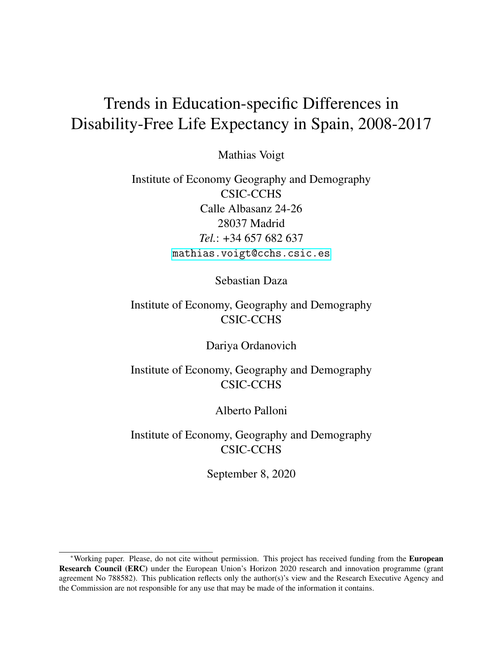# <span id="page-0-0"></span>Trends in Education-specific Differences in Disability-Free Life Expectancy in Spain, 2008-2017

Mathias Voigt

Institute of Economy Geography and Demography CSIC-CCHS Calle Albasanz 24-26 28037 Madrid *Tel.*: +34 657 682 637 <mathias.voigt@cchs.csic.es>

Sebastian Daza

## Institute of Economy, Geography and Demography CSIC-CCHS

Dariya Ordanovich

Institute of Economy, Geography and Demography CSIC-CCHS

Alberto Palloni

Institute of Economy, Geography and Demography CSIC-CCHS

September 8, 2020

<sup>∗</sup>Working paper. Please, do not cite without permission. This project has received funding from the European Research Council (ERC) under the European Union's Horizon 2020 research and innovation programme (grant agreement No 788582). This publication reflects only the author(s)'s view and the Research Executive Agency and the Commission are not responsible for any use that may be made of the information it contains.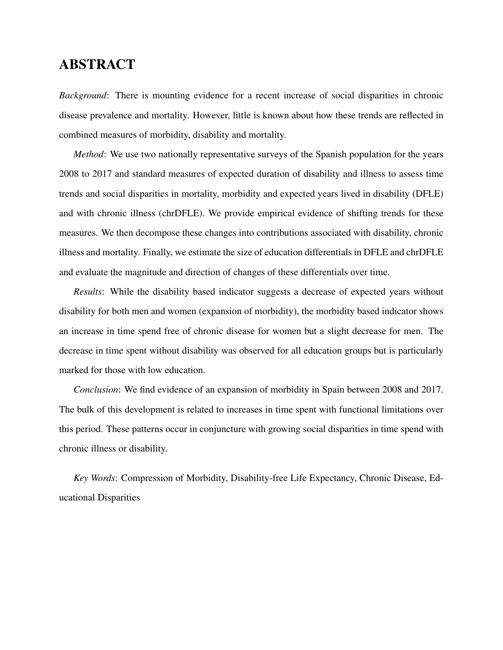# ABSTRACT

*Background*: There is mounting evidence for a recent increase of social disparities in chronic disease prevalence and mortality. However, little is known about how these trends are reflected in combined measures of morbidity, disability and mortality.

*Method*: We use two nationally representative surveys of the Spanish population for the years 2008 to 2017 and standard measures of expected duration of disability and illness to assess time trends and social disparities in mortality, morbidity and expected years lived in disability (DFLE) and with chronic illness (chrDFLE). We provide empirical evidence of shifting trends for these measures. We then decompose these changes into contributions associated with disability, chronic illness and mortality. Finally, we estimate the size of education differentials in DFLE and chrDFLE and evaluate the magnitude and direction of changes of these differentials over time.

*Results*: While the disability based indicator suggests a decrease of expected years without disability for both men and women (expansion of morbidity), the morbidity based indicator shows an increase in time spend free of chronic disease for women but a slight decrease for men. The decrease in time spent without disability was observed for all education groups but is particularly marked for those with low education.

*Conclusion*: We find evidence of an expansion of morbidity in Spain between 2008 and 2017. The bulk of this development is related to increases in time spent with functional limitations over this period. These patterns occur in conjuncture with growing social disparities in time spend with chronic illness or disability.

*Key Words*: Compression of Morbidity, Disability-free Life Expectancy, Chronic Disease, Educational Disparities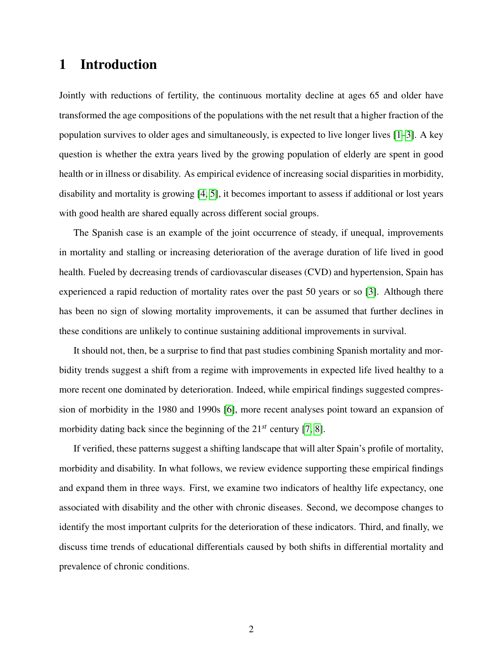# 1 Introduction

Jointly with reductions of fertility, the continuous mortality decline at ages 65 and older have transformed the age compositions of the populations with the net result that a higher fraction of the population survives to older ages and simultaneously, is expected to live longer lives [\[1–](#page-15-0)[3\]](#page-15-1). A key question is whether the extra years lived by the growing population of elderly are spent in good health or in illness or disability. As empirical evidence of increasing social disparities in morbidity, disability and mortality is growing [\[4,](#page-15-2) [5\]](#page-15-3), it becomes important to assess if additional or lost years with good health are shared equally across different social groups.

The Spanish case is an example of the joint occurrence of steady, if unequal, improvements in mortality and stalling or increasing deterioration of the average duration of life lived in good health. Fueled by decreasing trends of cardiovascular diseases (CVD) and hypertension, Spain has experienced a rapid reduction of mortality rates over the past 50 years or so [\[3\]](#page-15-1). Although there has been no sign of slowing mortality improvements, it can be assumed that further declines in these conditions are unlikely to continue sustaining additional improvements in survival.

It should not, then, be a surprise to find that past studies combining Spanish mortality and morbidity trends suggest a shift from a regime with improvements in expected life lived healthy to a more recent one dominated by deterioration. Indeed, while empirical findings suggested compression of morbidity in the 1980 and 1990s [\[6\]](#page-15-4), more recent analyses point toward an expansion of morbidity dating back since the beginning of the 21*st* century [\[7,](#page-15-5) [8\]](#page-15-6).

If verified, these patterns suggest a shifting landscape that will alter Spain's profile of mortality, morbidity and disability. In what follows, we review evidence supporting these empirical findings and expand them in three ways. First, we examine two indicators of healthy life expectancy, one associated with disability and the other with chronic diseases. Second, we decompose changes to identify the most important culprits for the deterioration of these indicators. Third, and finally, we discuss time trends of educational differentials caused by both shifts in differential mortality and prevalence of chronic conditions.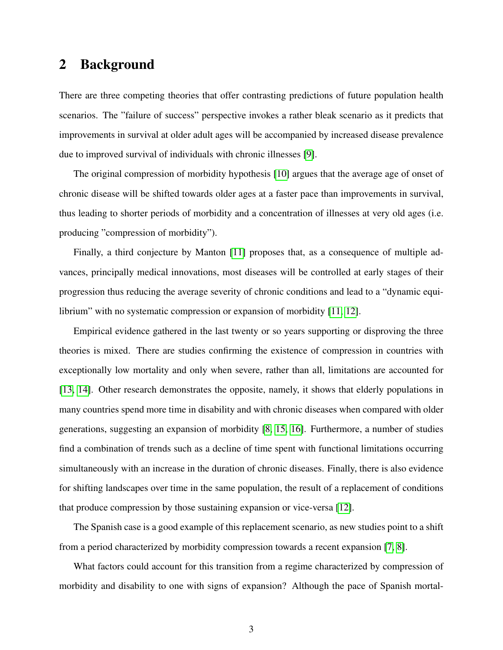# 2 Background

There are three competing theories that offer contrasting predictions of future population health scenarios. The "failure of success" perspective invokes a rather bleak scenario as it predicts that improvements in survival at older adult ages will be accompanied by increased disease prevalence due to improved survival of individuals with chronic illnesses [\[9\]](#page-15-7).

The original compression of morbidity hypothesis [\[10\]](#page-15-8) argues that the average age of onset of chronic disease will be shifted towards older ages at a faster pace than improvements in survival, thus leading to shorter periods of morbidity and a concentration of illnesses at very old ages (i.e. producing "compression of morbidity").

Finally, a third conjecture by Manton [\[11\]](#page-15-9) proposes that, as a consequence of multiple advances, principally medical innovations, most diseases will be controlled at early stages of their progression thus reducing the average severity of chronic conditions and lead to a "dynamic equilibrium" with no systematic compression or expansion of morbidity [\[11,](#page-15-9) [12\]](#page-15-10).

Empirical evidence gathered in the last twenty or so years supporting or disproving the three theories is mixed. There are studies confirming the existence of compression in countries with exceptionally low mortality and only when severe, rather than all, limitations are accounted for [\[13,](#page-15-11) [14\]](#page-16-0). Other research demonstrates the opposite, namely, it shows that elderly populations in many countries spend more time in disability and with chronic diseases when compared with older generations, suggesting an expansion of morbidity [\[8,](#page-15-6) [15,](#page-16-1) [16\]](#page-16-2). Furthermore, a number of studies find a combination of trends such as a decline of time spent with functional limitations occurring simultaneously with an increase in the duration of chronic diseases. Finally, there is also evidence for shifting landscapes over time in the same population, the result of a replacement of conditions that produce compression by those sustaining expansion or vice-versa [\[12\]](#page-15-10).

The Spanish case is a good example of this replacement scenario, as new studies point to a shift from a period characterized by morbidity compression towards a recent expansion [\[7,](#page-15-5) [8\]](#page-15-6).

What factors could account for this transition from a regime characterized by compression of morbidity and disability to one with signs of expansion? Although the pace of Spanish mortal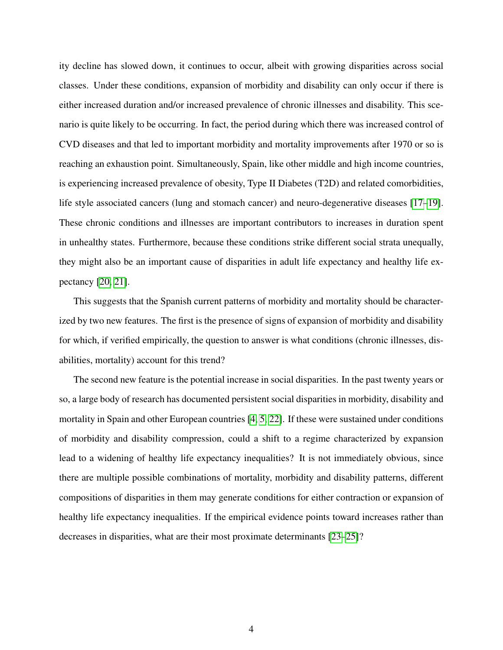ity decline has slowed down, it continues to occur, albeit with growing disparities across social classes. Under these conditions, expansion of morbidity and disability can only occur if there is either increased duration and/or increased prevalence of chronic illnesses and disability. This scenario is quite likely to be occurring. In fact, the period during which there was increased control of CVD diseases and that led to important morbidity and mortality improvements after 1970 or so is reaching an exhaustion point. Simultaneously, Spain, like other middle and high income countries, is experiencing increased prevalence of obesity, Type II Diabetes (T2D) and related comorbidities, life style associated cancers (lung and stomach cancer) and neuro-degenerative diseases [\[17](#page-16-3)[–19\]](#page-16-4). These chronic conditions and illnesses are important contributors to increases in duration spent in unhealthy states. Furthermore, because these conditions strike different social strata unequally, they might also be an important cause of disparities in adult life expectancy and healthy life expectancy [\[20,](#page-16-5) [21\]](#page-16-6).

This suggests that the Spanish current patterns of morbidity and mortality should be characterized by two new features. The first is the presence of signs of expansion of morbidity and disability for which, if verified empirically, the question to answer is what conditions (chronic illnesses, disabilities, mortality) account for this trend?

The second new feature is the potential increase in social disparities. In the past twenty years or so, a large body of research has documented persistent social disparities in morbidity, disability and mortality in Spain and other European countries [\[4,](#page-15-2) [5,](#page-15-3) [22\]](#page-16-7). If these were sustained under conditions of morbidity and disability compression, could a shift to a regime characterized by expansion lead to a widening of healthy life expectancy inequalities? It is not immediately obvious, since there are multiple possible combinations of mortality, morbidity and disability patterns, different compositions of disparities in them may generate conditions for either contraction or expansion of healthy life expectancy inequalities. If the empirical evidence points toward increases rather than decreases in disparities, what are their most proximate determinants [\[23](#page-16-8)[–25\]](#page-16-9)?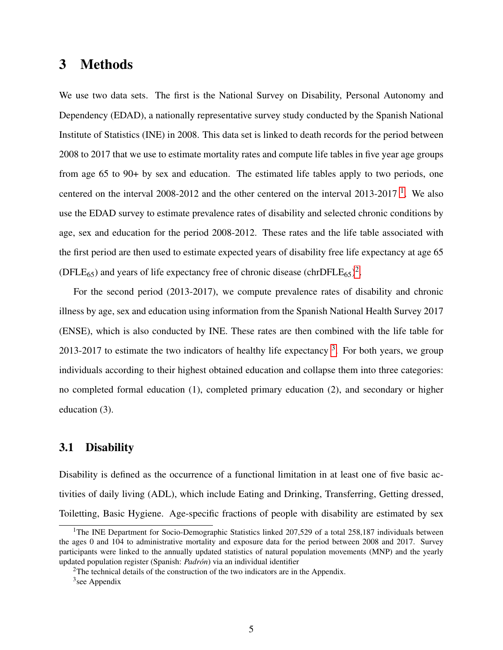## 3 Methods

We use two data sets. The first is the National Survey on Disability, Personal Autonomy and Dependency (EDAD), a nationally representative survey study conducted by the Spanish National Institute of Statistics (INE) in 2008. This data set is linked to death records for the period between 2008 to 2017 that we use to estimate mortality rates and compute life tables in five year age groups from age 65 to 90+ by sex and education. The estimated life tables apply to two periods, one centered on the interval 2008-20[1](#page-0-0)2 and the other centered on the interval 2013-2017<sup>1</sup>. We also use the EDAD survey to estimate prevalence rates of disability and selected chronic conditions by age, sex and education for the period 2008-2012. These rates and the life table associated with the first period are then used to estimate expected years of disability free life expectancy at age 65 (DFLE<sub>65</sub>) and years of life expectancy free of chronic disease (chrDFLE<sub>65</sub>)<sup>[2](#page-0-0)</sup>.

For the second period (2013-2017), we compute prevalence rates of disability and chronic illness by age, sex and education using information from the Spanish National Health Survey 2017 (ENSE), which is also conducted by INE. These rates are then combined with the life table for 201[3](#page-0-0)-2017 to estimate the two indicators of healthy life expectancy  $3$ . For both years, we group individuals according to their highest obtained education and collapse them into three categories: no completed formal education (1), completed primary education (2), and secondary or higher education (3).

### 3.1 Disability

Disability is defined as the occurrence of a functional limitation in at least one of five basic activities of daily living (ADL), which include Eating and Drinking, Transferring, Getting dressed, Toiletting, Basic Hygiene. Age-specific fractions of people with disability are estimated by sex

<sup>&</sup>lt;sup>1</sup>The INE Department for Socio-Demographic Statistics linked 207,529 of a total 258,187 individuals between the ages 0 and 104 to administrative mortality and exposure data for the period between 2008 and 2017. Survey participants were linked to the annually updated statistics of natural population movements (MNP) and the yearly updated population register (Spanish: *Padrón*) via an individual identifier

<sup>2</sup>The technical details of the construction of the two indicators are in the Appendix.

<sup>&</sup>lt;sup>3</sup>see Appendix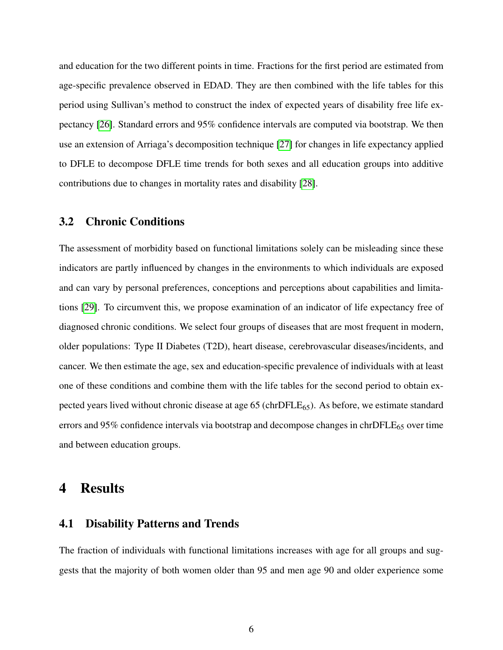and education for the two different points in time. Fractions for the first period are estimated from age-specific prevalence observed in EDAD. They are then combined with the life tables for this period using Sullivan's method to construct the index of expected years of disability free life expectancy [\[26\]](#page-17-0). Standard errors and 95% confidence intervals are computed via bootstrap. We then use an extension of Arriaga's decomposition technique [\[27\]](#page-17-1) for changes in life expectancy applied to DFLE to decompose DFLE time trends for both sexes and all education groups into additive contributions due to changes in mortality rates and disability [\[28\]](#page-17-2).

#### 3.2 Chronic Conditions

The assessment of morbidity based on functional limitations solely can be misleading since these indicators are partly influenced by changes in the environments to which individuals are exposed and can vary by personal preferences, conceptions and perceptions about capabilities and limitations [\[29\]](#page-17-3). To circumvent this, we propose examination of an indicator of life expectancy free of diagnosed chronic conditions. We select four groups of diseases that are most frequent in modern, older populations: Type II Diabetes (T2D), heart disease, cerebrovascular diseases/incidents, and cancer. We then estimate the age, sex and education-specific prevalence of individuals with at least one of these conditions and combine them with the life tables for the second period to obtain expected years lived without chronic disease at age  $65$  (chrDFLE $_{65}$ ). As before, we estimate standard errors and 95% confidence intervals via bootstrap and decompose changes in chrDFL $E_{65}$  over time and between education groups.

### 4 Results

#### 4.1 Disability Patterns and Trends

The fraction of individuals with functional limitations increases with age for all groups and suggests that the majority of both women older than 95 and men age 90 and older experience some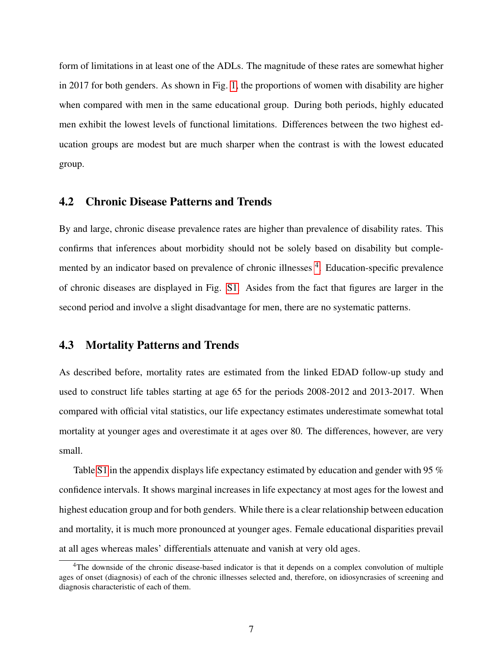form of limitations in at least one of the ADLs. The magnitude of these rates are somewhat higher in 2017 for both genders. As shown in Fig. [1,](#page-18-0) the proportions of women with disability are higher when compared with men in the same educational group. During both periods, highly educated men exhibit the lowest levels of functional limitations. Differences between the two highest education groups are modest but are much sharper when the contrast is with the lowest educated group.

#### 4.2 Chronic Disease Patterns and Trends

By and large, chronic disease prevalence rates are higher than prevalence of disability rates. This confirms that inferences about morbidity should not be solely based on disability but comple-mented by an indicator based on prevalence of chronic illnesses <sup>[4](#page-0-0)</sup>. Education-specific prevalence of chronic diseases are displayed in Fig. [S1.](#page-24-0) Asides from the fact that figures are larger in the second period and involve a slight disadvantage for men, there are no systematic patterns.

#### 4.3 Mortality Patterns and Trends

As described before, mortality rates are estimated from the linked EDAD follow-up study and used to construct life tables starting at age 65 for the periods 2008-2012 and 2013-2017. When compared with official vital statistics, our life expectancy estimates underestimate somewhat total mortality at younger ages and overestimate it at ages over 80. The differences, however, are very small.

Table [S1](#page-25-0) in the appendix displays life expectancy estimated by education and gender with 95  $\%$ confidence intervals. It shows marginal increases in life expectancy at most ages for the lowest and highest education group and for both genders. While there is a clear relationship between education and mortality, it is much more pronounced at younger ages. Female educational disparities prevail at all ages whereas males' differentials attenuate and vanish at very old ages.

<sup>4</sup>The downside of the chronic disease-based indicator is that it depends on a complex convolution of multiple ages of onset (diagnosis) of each of the chronic illnesses selected and, therefore, on idiosyncrasies of screening and diagnosis characteristic of each of them.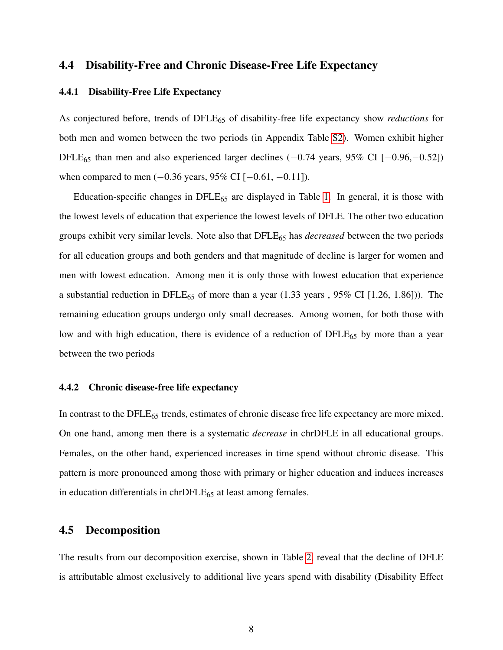### 4.4 Disability-Free and Chronic Disease-Free Life Expectancy

#### 4.4.1 Disability-Free Life Expectancy

As conjectured before, trends of DFLE<sub>65</sub> of disability-free life expectancy show *reductions* for both men and women between the two periods (in Appendix Table [S2\)](#page-26-0). Women exhibit higher DFLE<sup>65</sup> than men and also experienced larger declines (−0.74 years, 95% CI [−0.96,−0.52]) when compared to men (−0.36 years, 95% CI [−0.61, −0.11]).

Education-specific changes in  $DFLE_{65}$  are displayed in Table [1.](#page-19-0) In general, it is those with the lowest levels of education that experience the lowest levels of DFLE. The other two education groups exhibit very similar levels. Note also that DFLE<sup>65</sup> has *decreased* between the two periods for all education groups and both genders and that magnitude of decline is larger for women and men with lowest education. Among men it is only those with lowest education that experience a substantial reduction in DFLE<sub>65</sub> of more than a year  $(1.33 \text{ years}, 95\% \text{ CI} [1.26, 1.86])$ . The remaining education groups undergo only small decreases. Among women, for both those with low and with high education, there is evidence of a reduction of DFLE<sub>65</sub> by more than a year between the two periods

#### 4.4.2 Chronic disease-free life expectancy

In contrast to the DFLE<sub>65</sub> trends, estimates of chronic disease free life expectancy are more mixed. On one hand, among men there is a systematic *decrease* in chrDFLE in all educational groups. Females, on the other hand, experienced increases in time spend without chronic disease. This pattern is more pronounced among those with primary or higher education and induces increases in education differentials in  $chrDFLE_{65}$  at least among females.

### 4.5 Decomposition

The results from our decomposition exercise, shown in Table [2,](#page-20-0) reveal that the decline of DFLE is attributable almost exclusively to additional live years spend with disability (Disability Effect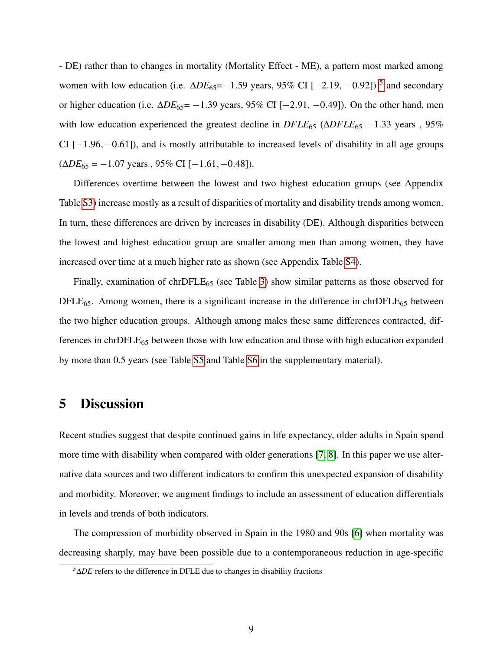- DE) rather than to changes in mortality (Mortality Effect - ME), a pattern most marked among women with low education (i.e.  $ΔDE<sub>65</sub>=-1.59$  $ΔDE<sub>65</sub>=-1.59$  $ΔDE<sub>65</sub>=-1.59$  years, 95% CI [-2.19, -0.92])<sup>5</sup> and secondary or higher education (i.e. ∆*DE*65= −1.39 years, 95% CI [−2.91, −0.49]). On the other hand, men with low education experienced the greatest decline in *DFLE*<sub>65</sub> (Δ*DFLE*<sub>65</sub> −1.33 years, 95% CI  $[-1.96, -0.61]$ , and is mostly attributable to increased levels of disability in all age groups (∆*DE*<sup>65</sup> = −1.07 years , 95% CI [−1.61,−0.48]).

Differences overtime between the lowest and two highest education groups (see Appendix Table [S3\)](#page-27-0) increase mostly as a result of disparities of mortality and disability trends among women. In turn, these differences are driven by increases in disability (DE). Although disparities between the lowest and highest education group are smaller among men than among women, they have increased over time at a much higher rate as shown (see Appendix Table [S4\)](#page-28-0).

Finally, examination of chrDFL $E_{65}$  (see Table [3\)](#page-21-0) show similar patterns as those observed for  $DFLE_{65}$ . Among women, there is a significant increase in the difference in chr $DFLE_{65}$  between the two higher education groups. Although among males these same differences contracted, differences in chrDFL $E_{65}$  between those with low education and those with high education expanded by more than 0.5 years (see Table [S5](#page-29-0) and Table [S6](#page-30-0) in the supplementary material).

# 5 Discussion

Recent studies suggest that despite continued gains in life expectancy, older adults in Spain spend more time with disability when compared with older generations [\[7,](#page-15-5) [8\]](#page-15-6). In this paper we use alternative data sources and two different indicators to confirm this unexpected expansion of disability and morbidity. Moreover, we augment findings to include an assessment of education differentials in levels and trends of both indicators.

The compression of morbidity observed in Spain in the 1980 and 90s [\[6\]](#page-15-4) when mortality was decreasing sharply, may have been possible due to a contemporaneous reduction in age-specific

<sup>5</sup>∆*DE* refers to the difference in DFLE due to changes in disability fractions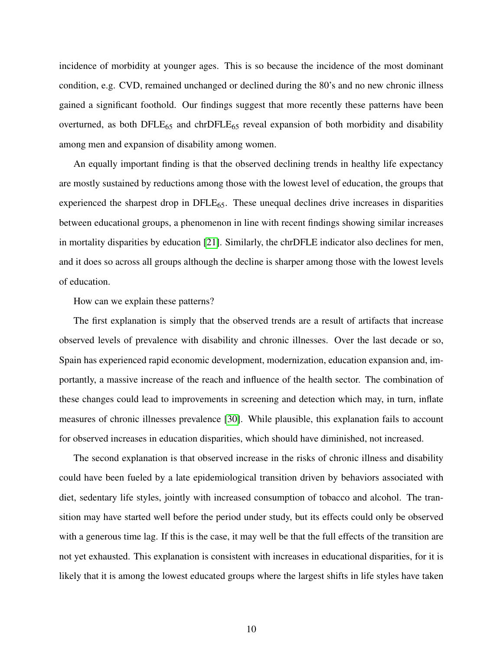incidence of morbidity at younger ages. This is so because the incidence of the most dominant condition, e.g. CVD, remained unchanged or declined during the 80's and no new chronic illness gained a significant foothold. Our findings suggest that more recently these patterns have been overturned, as both DFLE<sub>65</sub> and chrDFLE<sub>65</sub> reveal expansion of both morbidity and disability among men and expansion of disability among women.

An equally important finding is that the observed declining trends in healthy life expectancy are mostly sustained by reductions among those with the lowest level of education, the groups that experienced the sharpest drop in  $DFLE_{65}$ . These unequal declines drive increases in disparities between educational groups, a phenomenon in line with recent findings showing similar increases in mortality disparities by education [\[21\]](#page-16-6). Similarly, the chrDFLE indicator also declines for men, and it does so across all groups although the decline is sharper among those with the lowest levels of education.

How can we explain these patterns?

The first explanation is simply that the observed trends are a result of artifacts that increase observed levels of prevalence with disability and chronic illnesses. Over the last decade or so, Spain has experienced rapid economic development, modernization, education expansion and, importantly, a massive increase of the reach and influence of the health sector. The combination of these changes could lead to improvements in screening and detection which may, in turn, inflate measures of chronic illnesses prevalence [\[30\]](#page-17-4). While plausible, this explanation fails to account for observed increases in education disparities, which should have diminished, not increased.

The second explanation is that observed increase in the risks of chronic illness and disability could have been fueled by a late epidemiological transition driven by behaviors associated with diet, sedentary life styles, jointly with increased consumption of tobacco and alcohol. The transition may have started well before the period under study, but its effects could only be observed with a generous time lag. If this is the case, it may well be that the full effects of the transition are not yet exhausted. This explanation is consistent with increases in educational disparities, for it is likely that it is among the lowest educated groups where the largest shifts in life styles have taken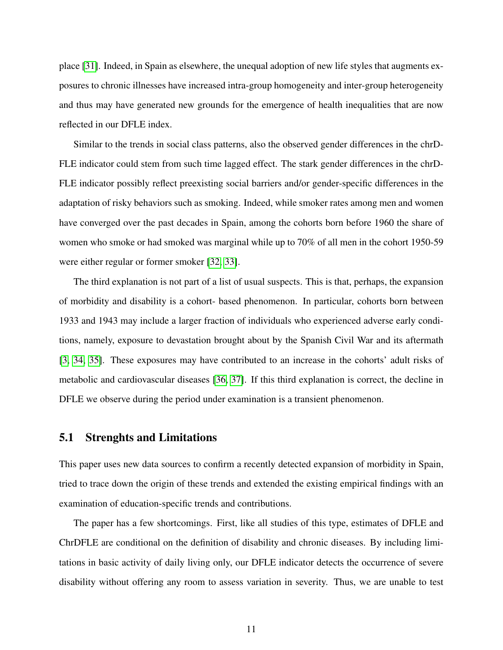place [\[31\]](#page-17-5). Indeed, in Spain as elsewhere, the unequal adoption of new life styles that augments exposures to chronic illnesses have increased intra-group homogeneity and inter-group heterogeneity and thus may have generated new grounds for the emergence of health inequalities that are now reflected in our DFLE index.

Similar to the trends in social class patterns, also the observed gender differences in the chrD-FLE indicator could stem from such time lagged effect. The stark gender differences in the chrD-FLE indicator possibly reflect preexisting social barriers and/or gender-specific differences in the adaptation of risky behaviors such as smoking. Indeed, while smoker rates among men and women have converged over the past decades in Spain, among the cohorts born before 1960 the share of women who smoke or had smoked was marginal while up to 70% of all men in the cohort 1950-59 were either regular or former smoker [\[32,](#page-17-6) [33\]](#page-17-7).

The third explanation is not part of a list of usual suspects. This is that, perhaps, the expansion of morbidity and disability is a cohort- based phenomenon. In particular, cohorts born between 1933 and 1943 may include a larger fraction of individuals who experienced adverse early conditions, namely, exposure to devastation brought about by the Spanish Civil War and its aftermath [\[3,](#page-15-1) [34,](#page-17-8) [35\]](#page-17-9). These exposures may have contributed to an increase in the cohorts' adult risks of metabolic and cardiovascular diseases [\[36,](#page-17-10) [37\]](#page-17-11). If this third explanation is correct, the decline in DFLE we observe during the period under examination is a transient phenomenon.

#### 5.1 Strenghts and Limitations

This paper uses new data sources to confirm a recently detected expansion of morbidity in Spain, tried to trace down the origin of these trends and extended the existing empirical findings with an examination of education-specific trends and contributions.

The paper has a few shortcomings. First, like all studies of this type, estimates of DFLE and ChrDFLE are conditional on the definition of disability and chronic diseases. By including limitations in basic activity of daily living only, our DFLE indicator detects the occurrence of severe disability without offering any room to assess variation in severity. Thus, we are unable to test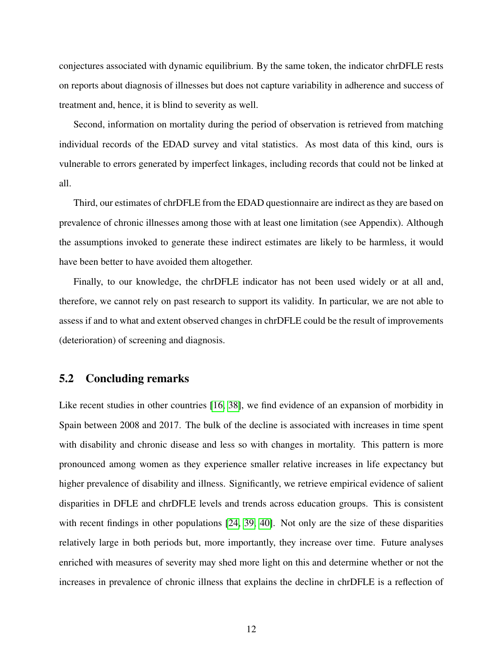conjectures associated with dynamic equilibrium. By the same token, the indicator chrDFLE rests on reports about diagnosis of illnesses but does not capture variability in adherence and success of treatment and, hence, it is blind to severity as well.

Second, information on mortality during the period of observation is retrieved from matching individual records of the EDAD survey and vital statistics. As most data of this kind, ours is vulnerable to errors generated by imperfect linkages, including records that could not be linked at all.

Third, our estimates of chrDFLE from the EDAD questionnaire are indirect as they are based on prevalence of chronic illnesses among those with at least one limitation (see Appendix). Although the assumptions invoked to generate these indirect estimates are likely to be harmless, it would have been better to have avoided them altogether.

Finally, to our knowledge, the chrDFLE indicator has not been used widely or at all and, therefore, we cannot rely on past research to support its validity. In particular, we are not able to assess if and to what and extent observed changes in chrDFLE could be the result of improvements (deterioration) of screening and diagnosis.

#### 5.2 Concluding remarks

Like recent studies in other countries [\[16,](#page-16-2) [38\]](#page-17-12), we find evidence of an expansion of morbidity in Spain between 2008 and 2017. The bulk of the decline is associated with increases in time spent with disability and chronic disease and less so with changes in mortality. This pattern is more pronounced among women as they experience smaller relative increases in life expectancy but higher prevalence of disability and illness. Significantly, we retrieve empirical evidence of salient disparities in DFLE and chrDFLE levels and trends across education groups. This is consistent with recent findings in other populations [\[24,](#page-16-10) [39,](#page-17-13) [40\]](#page-17-14). Not only are the size of these disparities relatively large in both periods but, more importantly, they increase over time. Future analyses enriched with measures of severity may shed more light on this and determine whether or not the increases in prevalence of chronic illness that explains the decline in chrDFLE is a reflection of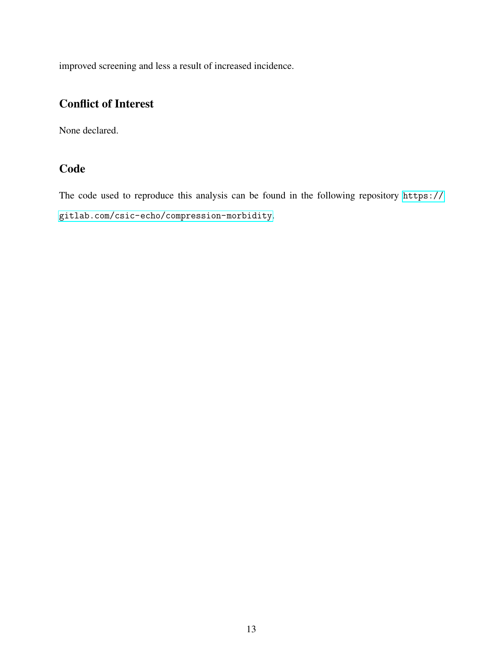improved screening and less a result of increased incidence.

## Conflict of Interest

None declared.

### **Code**

The code used to reproduce this analysis can be found in the following repository [https://](https://gitlab.com/csic-echo/compression-morbidity) [gitlab.com/csic-echo/compression-morbidity](https://gitlab.com/csic-echo/compression-morbidity).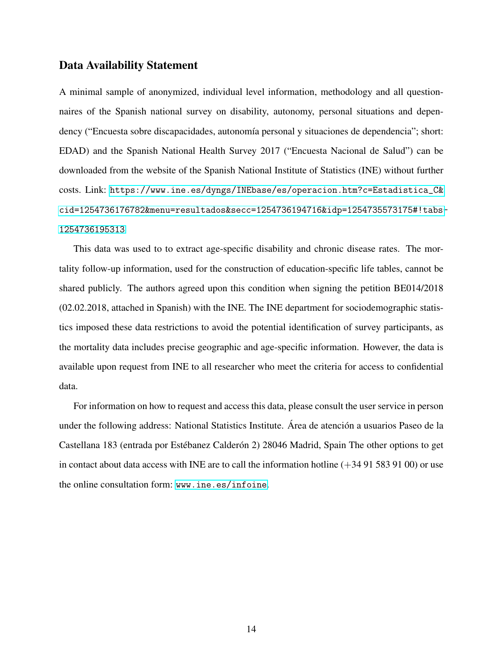#### Data Availability Statement

A minimal sample of anonymized, individual level information, methodology and all questionnaires of the Spanish national survey on disability, autonomy, personal situations and dependency ("Encuesta sobre discapacidades, autonomía personal y situaciones de dependencia"; short: EDAD) and the Spanish National Health Survey 2017 ("Encuesta Nacional de Salud") can be downloaded from the website of the Spanish National Institute of Statistics (INE) without further costs. Link: [https://www.ine.es/dyngs/INEbase/es/operacion.htm?c=Estadistica\\_C&](https://www.ine.es/dyngs/INEbase/es/operacion.htm?c=Estadistica_C&cid=1254736176782&menu=resultados&secc=1254736194716&idp=1254735573175#!tabs-1254736195313) [cid=1254736176782&menu=resultados&secc=1254736194716&idp=1254735573175#!tabs-](https://www.ine.es/dyngs/INEbase/es/operacion.htm?c=Estadistica_C&cid=1254736176782&menu=resultados&secc=1254736194716&idp=1254735573175#!tabs-1254736195313)[1254736195313](https://www.ine.es/dyngs/INEbase/es/operacion.htm?c=Estadistica_C&cid=1254736176782&menu=resultados&secc=1254736194716&idp=1254735573175#!tabs-1254736195313)

This data was used to to extract age-specific disability and chronic disease rates. The mortality follow-up information, used for the construction of education-specific life tables, cannot be shared publicly. The authors agreed upon this condition when signing the petition BE014/2018 (02.02.2018, attached in Spanish) with the INE. The INE department for sociodemographic statistics imposed these data restrictions to avoid the potential identification of survey participants, as the mortality data includes precise geographic and age-specific information. However, the data is available upon request from INE to all researcher who meet the criteria for access to confidential data.

For information on how to request and access this data, please consult the user service in person under the following address: National Statistics Institute. Area de atención a usuarios Paseo de la Castellana 183 (entrada por Estébanez Calderón 2) 28046 Madrid, Spain The other options to get in contact about data access with INE are to call the information hotline  $(+34915839100)$  or use the online consultation form: <www.ine.es/infoine>.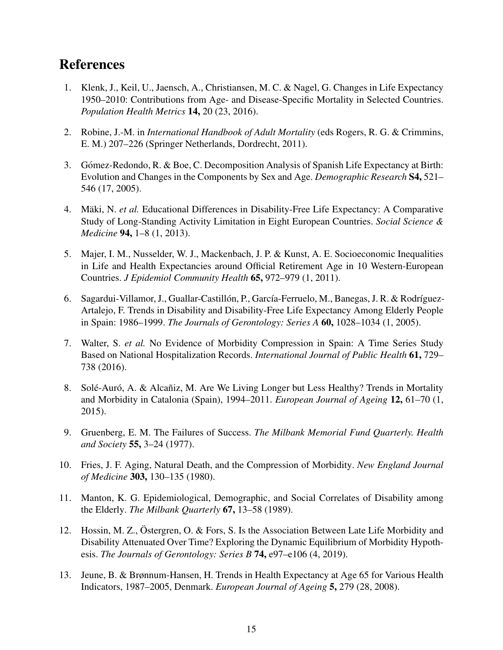# References

- <span id="page-15-0"></span>1. Klenk, J., Keil, U., Jaensch, A., Christiansen, M. C. & Nagel, G. Changes in Life Expectancy 1950–2010: Contributions from Age- and Disease-Specific Mortality in Selected Countries. *Population Health Metrics* 14, 20 (23, 2016).
- 2. Robine, J.-M. in *International Handbook of Adult Mortality* (eds Rogers, R. G. & Crimmins, E. M.) 207–226 (Springer Netherlands, Dordrecht, 2011).
- <span id="page-15-1"></span>3. Gómez-Redondo, R. & Boe, C. Decomposition Analysis of Spanish Life Expectancy at Birth: Evolution and Changes in the Components by Sex and Age. *Demographic Research* S4, 521– 546 (17, 2005).
- <span id="page-15-2"></span>4. Mäki, N. et al. Educational Differences in Disability-Free Life Expectancy: A Comparative Study of Long-Standing Activity Limitation in Eight European Countries. *Social Science & Medicine* 94, 1–8 (1, 2013).
- <span id="page-15-3"></span>5. Majer, I. M., Nusselder, W. J., Mackenbach, J. P. & Kunst, A. E. Socioeconomic Inequalities in Life and Health Expectancies around Official Retirement Age in 10 Western-European Countries. *J Epidemiol Community Health* 65, 972–979 (1, 2011).
- <span id="page-15-4"></span>6. Sagardui-Villamor, J., Guallar-Castillón, P., García-Ferruelo, M., Banegas, J. R. & Rodríguez-Artalejo, F. Trends in Disability and Disability-Free Life Expectancy Among Elderly People in Spain: 1986–1999. *The Journals of Gerontology: Series A* 60, 1028–1034 (1, 2005).
- <span id="page-15-5"></span>7. Walter, S. *et al.* No Evidence of Morbidity Compression in Spain: A Time Series Study Based on National Hospitalization Records. *International Journal of Public Health* 61, 729– 738 (2016).
- <span id="page-15-6"></span>8. Solé-Auró, A. & Alcañiz, M. Are We Living Longer but Less Healthy? Trends in Mortality and Morbidity in Catalonia (Spain), 1994–2011. *European Journal of Ageing* 12, 61–70 (1, 2015).
- <span id="page-15-7"></span>9. Gruenberg, E. M. The Failures of Success. *The Milbank Memorial Fund Quarterly. Health and Society* 55, 3–24 (1977).
- <span id="page-15-8"></span>10. Fries, J. F. Aging, Natural Death, and the Compression of Morbidity. *New England Journal of Medicine* 303, 130–135 (1980).
- <span id="page-15-9"></span>11. Manton, K. G. Epidemiological, Demographic, and Social Correlates of Disability among the Elderly. *The Milbank Quarterly* 67, 13–58 (1989).
- <span id="page-15-10"></span>12. Hossin, M. Z., Östergren, O. & Fors, S. Is the Association Between Late Life Morbidity and Disability Attenuated Over Time? Exploring the Dynamic Equilibrium of Morbidity Hypothesis. *The Journals of Gerontology: Series B* 74, e97–e106 (4, 2019).
- <span id="page-15-11"></span>13. Jeune, B. & Brønnum-Hansen, H. Trends in Health Expectancy at Age 65 for Various Health Indicators, 1987–2005, Denmark. *European Journal of Ageing* 5, 279 (28, 2008).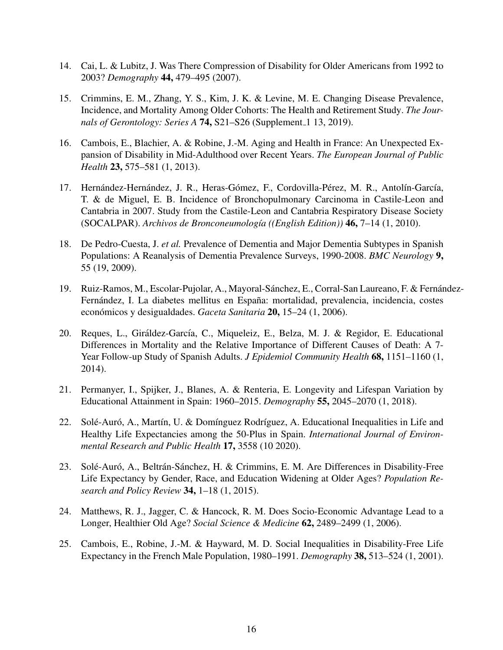- <span id="page-16-0"></span>14. Cai, L. & Lubitz, J. Was There Compression of Disability for Older Americans from 1992 to 2003? *Demography* 44, 479–495 (2007).
- <span id="page-16-1"></span>15. Crimmins, E. M., Zhang, Y. S., Kim, J. K. & Levine, M. E. Changing Disease Prevalence, Incidence, and Mortality Among Older Cohorts: The Health and Retirement Study. *The Journals of Gerontology: Series A* **74,** S21–S26 (Supplement 1 13, 2019).
- <span id="page-16-2"></span>16. Cambois, E., Blachier, A. & Robine, J.-M. Aging and Health in France: An Unexpected Expansion of Disability in Mid-Adulthood over Recent Years. *The European Journal of Public Health* 23, 575–581 (1, 2013).
- <span id="page-16-3"></span>17. Hernández-Hernández, J. R., Heras-Gómez, F., Cordovilla-Pérez, M. R., Antolín-García, T. & de Miguel, E. B. Incidence of Bronchopulmonary Carcinoma in Castile-Leon and Cantabria in 2007. Study from the Castile-Leon and Cantabria Respiratory Disease Society (SOCALPAR). *Archivos de Bronconeumolog´ıa ((English Edition))* 46, 7–14 (1, 2010).
- 18. De Pedro-Cuesta, J. *et al.* Prevalence of Dementia and Major Dementia Subtypes in Spanish Populations: A Reanalysis of Dementia Prevalence Surveys, 1990-2008. *BMC Neurology* 9, 55 (19, 2009).
- <span id="page-16-4"></span>19. Ruiz-Ramos, M., Escolar-Pujolar, A., Mayoral-Sánchez, E., Corral-San Laureano, F. & Fernández-Fernández, I. La diabetes mellitus en España: mortalidad, prevalencia, incidencia, costes económicos y desigualdades. *Gaceta Sanitaria* 20, 15–24 (1, 2006).
- <span id="page-16-5"></span>20. Reques, L., Giráldez-García, C., Miqueleiz, E., Belza, M. J. & Regidor, E. Educational Differences in Mortality and the Relative Importance of Different Causes of Death: A 7- Year Follow-up Study of Spanish Adults. *J Epidemiol Community Health* 68, 1151–1160 (1, 2014).
- <span id="page-16-6"></span>21. Permanyer, I., Spijker, J., Blanes, A. & Renteria, E. Longevity and Lifespan Variation by Educational Attainment in Spain: 1960–2015. *Demography* 55, 2045–2070 (1, 2018).
- <span id="page-16-7"></span>22. Solé-Auró, A., Martín, U. & Domínguez Rodríguez, A. Educational Inequalities in Life and Healthy Life Expectancies among the 50-Plus in Spain. *International Journal of Environmental Research and Public Health* 17, 3558 (10 2020).
- <span id="page-16-8"></span>23. Solé-Auró, A., Beltrán-Sánchez, H. & Crimmins, E. M. Are Differences in Disability-Free Life Expectancy by Gender, Race, and Education Widening at Older Ages? *Population Research and Policy Review* 34, 1–18 (1, 2015).
- <span id="page-16-10"></span>24. Matthews, R. J., Jagger, C. & Hancock, R. M. Does Socio-Economic Advantage Lead to a Longer, Healthier Old Age? *Social Science & Medicine* 62, 2489–2499 (1, 2006).
- <span id="page-16-9"></span>25. Cambois, E., Robine, J.-M. & Hayward, M. D. Social Inequalities in Disability-Free Life Expectancy in the French Male Population, 1980–1991. *Demography* 38, 513–524 (1, 2001).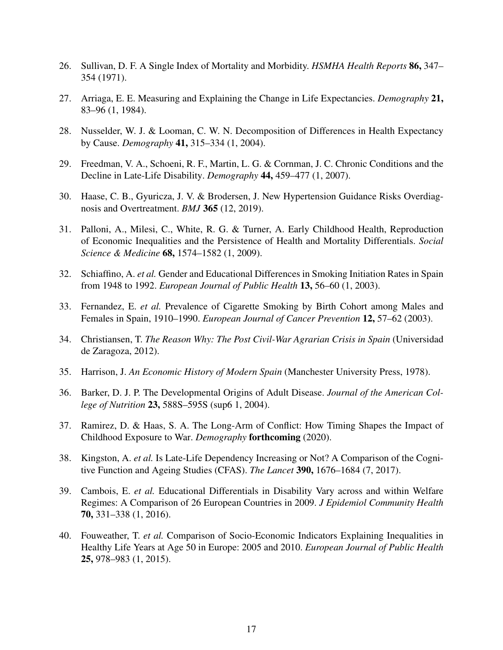- <span id="page-17-0"></span>26. Sullivan, D. F. A Single Index of Mortality and Morbidity. *HSMHA Health Reports* 86, 347– 354 (1971).
- <span id="page-17-1"></span>27. Arriaga, E. E. Measuring and Explaining the Change in Life Expectancies. *Demography* 21, 83–96 (1, 1984).
- <span id="page-17-2"></span>28. Nusselder, W. J. & Looman, C. W. N. Decomposition of Differences in Health Expectancy by Cause. *Demography* 41, 315–334 (1, 2004).
- <span id="page-17-3"></span>29. Freedman, V. A., Schoeni, R. F., Martin, L. G. & Cornman, J. C. Chronic Conditions and the Decline in Late-Life Disability. *Demography* 44, 459–477 (1, 2007).
- <span id="page-17-4"></span>30. Haase, C. B., Gyuricza, J. V. & Brodersen, J. New Hypertension Guidance Risks Overdiagnosis and Overtreatment. *BMJ* 365 (12, 2019).
- <span id="page-17-5"></span>31. Palloni, A., Milesi, C., White, R. G. & Turner, A. Early Childhood Health, Reproduction of Economic Inequalities and the Persistence of Health and Mortality Differentials. *Social Science & Medicine* 68, 1574–1582 (1, 2009).
- <span id="page-17-6"></span>32. Schiaffino, A. *et al.* Gender and Educational Differences in Smoking Initiation Rates in Spain from 1948 to 1992. *European Journal of Public Health* 13, 56–60 (1, 2003).
- <span id="page-17-7"></span>33. Fernandez, E. *et al.* Prevalence of Cigarette Smoking by Birth Cohort among Males and Females in Spain, 1910–1990. *European Journal of Cancer Prevention* 12, 57–62 (2003).
- <span id="page-17-8"></span>34. Christiansen, T. *The Reason Why: The Post Civil-War Agrarian Crisis in Spain* (Universidad de Zaragoza, 2012).
- <span id="page-17-9"></span>35. Harrison, J. *An Economic History of Modern Spain* (Manchester University Press, 1978).
- <span id="page-17-10"></span>36. Barker, D. J. P. The Developmental Origins of Adult Disease. *Journal of the American College of Nutrition* 23, 588S–595S (sup6 1, 2004).
- <span id="page-17-11"></span>37. Ramirez, D. & Haas, S. A. The Long-Arm of Conflict: How Timing Shapes the Impact of Childhood Exposure to War. *Demography* forthcoming (2020).
- <span id="page-17-12"></span>38. Kingston, A. *et al.* Is Late-Life Dependency Increasing or Not? A Comparison of the Cognitive Function and Ageing Studies (CFAS). *The Lancet* 390, 1676–1684 (7, 2017).
- <span id="page-17-13"></span>39. Cambois, E. *et al.* Educational Differentials in Disability Vary across and within Welfare Regimes: A Comparison of 26 European Countries in 2009. *J Epidemiol Community Health* 70, 331–338 (1, 2016).
- <span id="page-17-14"></span>40. Fouweather, T. *et al.* Comparison of Socio-Economic Indicators Explaining Inequalities in Healthy Life Years at Age 50 in Europe: 2005 and 2010. *European Journal of Public Health* 25, 978–983 (1, 2015).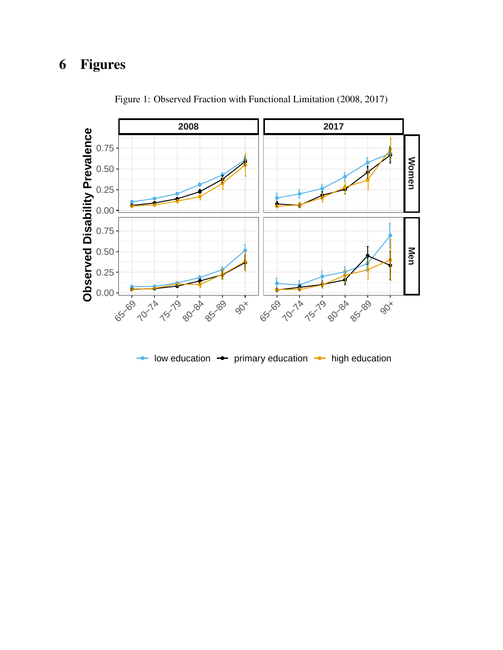# 6 Figures

<span id="page-18-0"></span>

Figure 1: Observed Fraction with Functional Limitation (2008, 2017)

low education  $\rightarrow$  primary education  $\rightarrow$  high education  $\overline{\phantom{a}}$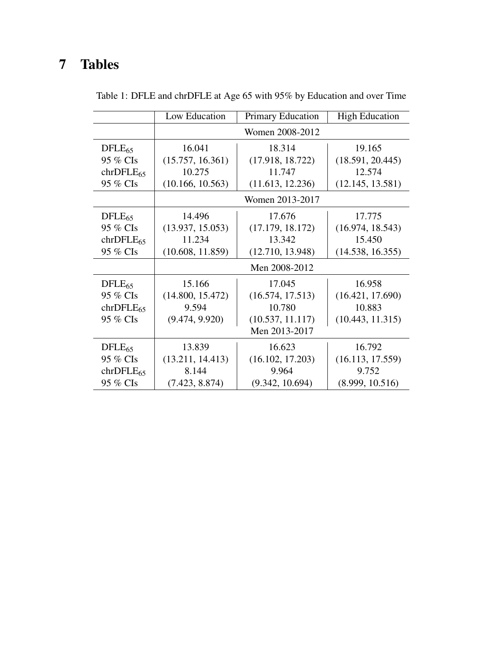# 7 Tables

<span id="page-19-0"></span>

|                | Low Education    | <b>Primary Education</b> | <b>High Education</b> |
|----------------|------------------|--------------------------|-----------------------|
|                | Women 2008-2012  |                          |                       |
| $DFLE_{65}$    | 16.041           | 18.314                   | 19.165                |
| 95 % CIs       | (15.757, 16.361) | (17.918, 18.722)         | (18.591, 20.445)      |
| $chrDFLE_{65}$ | 10.275           | 11.747                   | 12.574                |
| 95 % CIs       | (10.166, 10.563) | (11.613, 12.236)         | (12.145, 13.581)      |
|                | Women 2013-2017  |                          |                       |
| $DFLE_{65}$    | 14.496           | 17.676                   | 17.775                |
| 95 % CIs       | (13.937, 15.053) | (17.179, 18.172)         | (16.974, 18.543)      |
| $chrDFLE_{65}$ | 11.234           | 13.342                   | 15.450                |
| 95 % CIs       | (10.608, 11.859) | (12.710, 13.948)         | (14.538, 16.355)      |
|                | Men 2008-2012    |                          |                       |
| $DFLE_{65}$    | 15.166           | 17.045                   | 16.958                |
| 95 % CIs       | (14.800, 15.472) | (16.574, 17.513)         | (16.421, 17.690)      |
| $chrDFLE_{65}$ | 9.594            | 10.780                   | 10.883                |
| 95 % CIs       | (9.474, 9.920)   | (10.537, 11.117)         | (10.443, 11.315)      |
|                | Men 2013-2017    |                          |                       |
| $DFLE_{65}$    | 13.839           | 16.623                   | 16.792                |
| 95 % CIs       | (13.211, 14.413) | (16.102, 17.203)         | (16.113, 17.559)      |
| $chrDFLE_{65}$ | 8.144            | 9.964                    | 9.752                 |
| 95 % CIs       | (7.423, 8.874)   | (9.342, 10.694)          | (8.999, 10.516)       |

Table 1: DFLE and chrDFLE at Age 65 with 95% by Education and over Time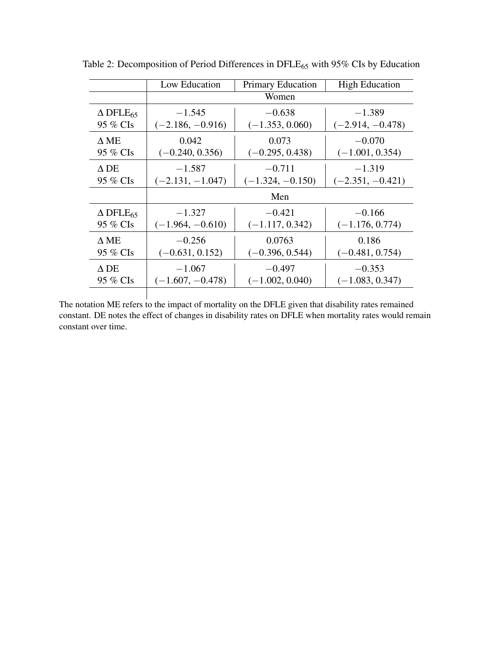|                                | Low Education      | <b>Primary Education</b> | <b>High Education</b> |
|--------------------------------|--------------------|--------------------------|-----------------------|
|                                | Women              |                          |                       |
| $\triangle$ DFLE <sub>65</sub> | $-1.545$           | $-0.638$                 | $-1.389$              |
| 95 % CIs                       | $(-2.186, -0.916)$ | $(-1.353, 0.060)$        | $(-2.914, -0.478)$    |
| $\Lambda$ ME                   | 0.042              | 0.073                    | $-0.070$              |
| 95 % CIs                       | $(-0.240, 0.356)$  | $(-0.295, 0.438)$        | $(-1.001, 0.354)$     |
| $\Delta$ DE                    | $-1.587$           | $-0.711$                 | $-1.319$              |
| 95 % CIs                       | $(-2.131, -1.047)$ | $(-1.324, -0.150)$       | $(-2.351, -0.421)$    |
|                                | Men                |                          |                       |
| $\triangle$ DFLE <sub>65</sub> | $-1.327$           | $-0.421$                 | $-0.166$              |
| 95 % CIs                       | $(-1.964, -0.610)$ | $(-1.117, 0.342)$        | $(-1.176, 0.774)$     |
| $\Delta$ ME                    | $-0.256$           | 0.0763                   | 0.186                 |
| 95 % CIs                       | $(-0.631, 0.152)$  | $(-0.396, 0.544)$        | $(-0.481, 0.754)$     |
| $\Delta$ DE                    | $-1.067$           | $-0.497$                 | $-0.353$              |
| 95 % CIs                       | $(-1.607, -0.478)$ | $(-1.002, 0.040)$        | $(-1.083, 0.347)$     |

<span id="page-20-0"></span>Table 2: Decomposition of Period Differences in DFLE<sub>65</sub> with 95% CIs by Education

The notation ME refers to the impact of mortality on the DFLE given that disability rates remained constant. DE notes the effect of changes in disability rates on DFLE when mortality rates would remain constant over time.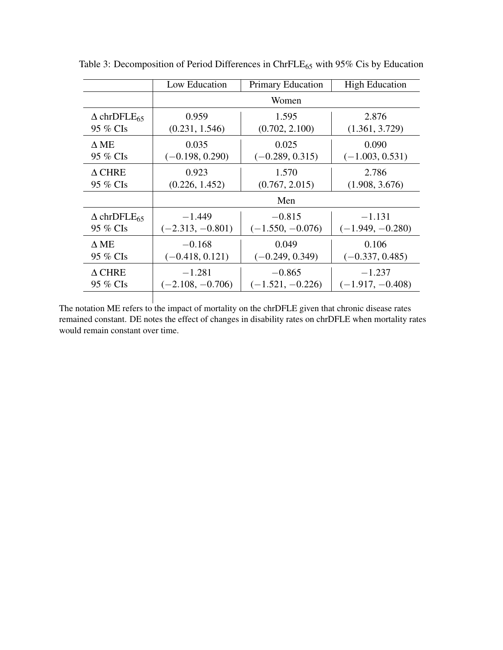<span id="page-21-0"></span>

|                                   | Low Education      | <b>Primary Education</b> | <b>High Education</b> |  |
|-----------------------------------|--------------------|--------------------------|-----------------------|--|
|                                   | Women              |                          |                       |  |
| $\triangle$ chrDFLE <sub>65</sub> | 0.959              | 1.595                    | 2.876                 |  |
| 95 % CIs                          | (0.231, 1.546)     | (0.702, 2.100)           | (1.361, 3.729)        |  |
| $\Delta$ ME                       | 0.035              | 0.025                    | 0.090                 |  |
| 95 % CIs                          | $(-0.198, 0.290)$  | $(-0.289, 0.315)$        | $(-1.003, 0.531)$     |  |
| $\Delta$ CHRE                     | 0.923              | 1.570                    | 2.786                 |  |
| 95 % CIs                          | (0.226, 1.452)     | (0.767, 2.015)           | (1.908, 3.676)        |  |
|                                   |                    | Men                      |                       |  |
| $\triangle$ chrDFLE <sub>65</sub> | $-1.449$           | $-0.815$                 | $-1.131$              |  |
| 95 % CIs                          | $(-2.313, -0.801)$ | $(-1.550, -0.076)$       | $(-1.949, -0.280)$    |  |
| $\Delta$ ME                       | $-0.168$           | 0.049                    | 0.106                 |  |
| 95 % CIs                          | $(-0.418, 0.121)$  | $(-0.249, 0.349)$        | $(-0.337, 0.485)$     |  |
| $\Delta$ CHRE                     | $-1.281$           | $-0.865$                 | $-1.237$              |  |
| 95 % CIs                          | $(-2.108, -0.706)$ | $(-1.521, -0.226)$       | $(-1.917, -0.408)$    |  |

Table 3: Decomposition of Period Differences in ChrFLE<sub>65</sub> with 95% Cis by Education

The notation ME refers to the impact of mortality on the chrDFLE given that chronic disease rates remained constant. DE notes the effect of changes in disability rates on chrDFLE when mortality rates would remain constant over time.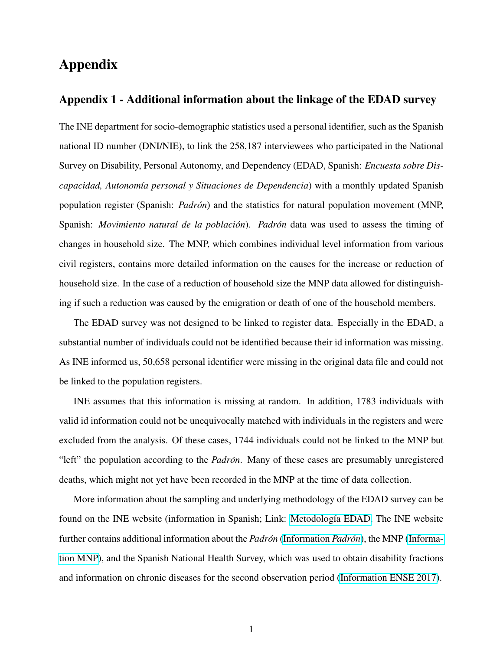# Appendix

#### Appendix 1 - Additional information about the linkage of the EDAD survey

The INE department for socio-demographic statistics used a personal identifier, such as the Spanish national ID number (DNI/NIE), to link the 258,187 interviewees who participated in the National Survey on Disability, Personal Autonomy, and Dependency (EDAD, Spanish: *Encuesta sobre Discapacidad, Autonomía personal y Situaciones de Dependencia*) with a monthly updated Spanish population register (Spanish: *Padron´* ) and the statistics for natural population movement (MNP, Spanish: *Movimiento natural de la población*). *Padrón* data was used to assess the timing of changes in household size. The MNP, which combines individual level information from various civil registers, contains more detailed information on the causes for the increase or reduction of household size. In the case of a reduction of household size the MNP data allowed for distinguishing if such a reduction was caused by the emigration or death of one of the household members.

The EDAD survey was not designed to be linked to register data. Especially in the EDAD, a substantial number of individuals could not be identified because their id information was missing. As INE informed us, 50,658 personal identifier were missing in the original data file and could not be linked to the population registers.

INE assumes that this information is missing at random. In addition, 1783 individuals with valid id information could not be unequivocally matched with individuals in the registers and were excluded from the analysis. Of these cases, 1744 individuals could not be linked to the MNP but "left" the population according to the *Padrón*. Many of these cases are presumably unregistered deaths, which might not yet have been recorded in the MNP at the time of data collection.

More information about the sampling and underlying methodology of the EDAD survey can be found on the INE website (information in Spanish; Link: Metodología EDAD. The INE website further contains additional information about the *Padron´* [\(Information](http://www.ine.es/dyngs/INEbase/es/operacion.htm?c=Estadistica_C&cid=1254736177011&menu=resultados&idp=1254734710990) *Padron´* ), the MNP [\(Informa](https://www.ine.es/prensa/mnp_prensa.htm)[tion MNP\)](https://www.ine.es/prensa/mnp_prensa.htm), and the Spanish National Health Survey, which was used to obtain disability fractions and information on chronic diseases for the second observation period [\(Information ENSE 2017\)](https://www.ine.es/dyngs/INEbase/es/operacion.htm?c=Estadistica_C&cid=1254736176783&menu=resultados&secc=1254736195295&idp=1254735573175#!tabs-1254736195650).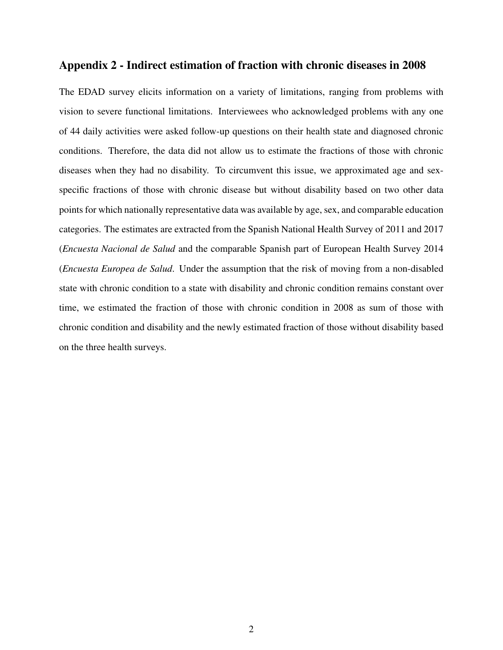### Appendix 2 - Indirect estimation of fraction with chronic diseases in 2008

The EDAD survey elicits information on a variety of limitations, ranging from problems with vision to severe functional limitations. Interviewees who acknowledged problems with any one of 44 daily activities were asked follow-up questions on their health state and diagnosed chronic conditions. Therefore, the data did not allow us to estimate the fractions of those with chronic diseases when they had no disability. To circumvent this issue, we approximated age and sexspecific fractions of those with chronic disease but without disability based on two other data points for which nationally representative data was available by age, sex, and comparable education categories. The estimates are extracted from the Spanish National Health Survey of 2011 and 2017 (*Encuesta Nacional de Salud* and the comparable Spanish part of European Health Survey 2014 (*Encuesta Europea de Salud*. Under the assumption that the risk of moving from a non-disabled state with chronic condition to a state with disability and chronic condition remains constant over time, we estimated the fraction of those with chronic condition in 2008 as sum of those with chronic condition and disability and the newly estimated fraction of those without disability based on the three health surveys.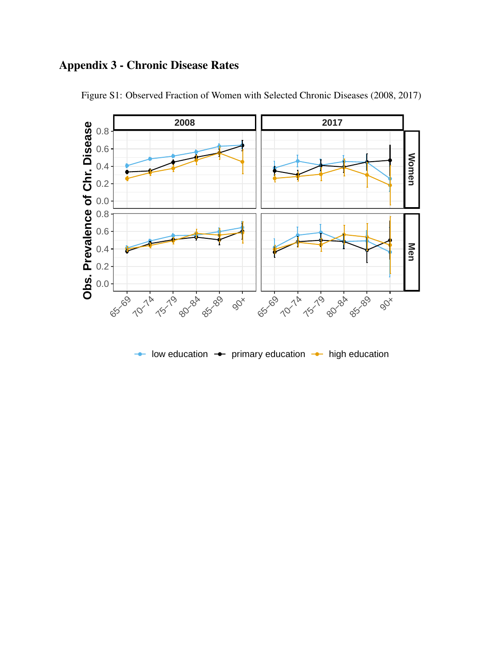# Appendix 3 - Chronic Disease Rates

<span id="page-24-0"></span>

Figure S1: Observed Fraction of Women with Selected Chronic Diseases (2008, 2017)

low education  $\rightarrow$  primary education  $\rightarrow$  high education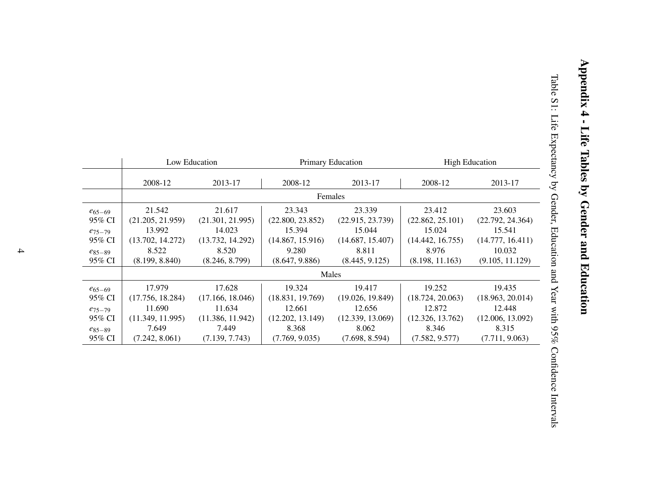<span id="page-25-0"></span>

|                       |                            | Low Education              |                            | Primary Education          |                            | <b>High Education</b>      |
|-----------------------|----------------------------|----------------------------|----------------------------|----------------------------|----------------------------|----------------------------|
|                       | 2008-12                    | 2013-17                    | 2008-12                    | 2013-17                    | 2008-12                    | 2013-17                    |
|                       |                            |                            | Females                    |                            |                            |                            |
| $e_{65-69}$<br>95% CI | 21.542<br>(21.205, 21.959) | 21.617<br>(21.301, 21.995) | 23.343<br>(22.800, 23.852) | 23.339<br>(22.915, 23.739) | 23.412<br>(22.862, 25.101) | 23.603<br>(22.792, 24.364) |
| $e_{75-79}$           | 13.992                     | 14.023                     | 15.394                     | 15.044                     | 15.024                     | 15.541                     |
| 95% CI                | (13.702, 14.272)           | (13.732, 14.292)           | (14.867, 15.916)           | (14.687, 15.407)           | (14.442, 16.755)           | (14.777, 16.411)           |
| $e_{85-89}$           | 8.522                      | 8.520                      | 9.280                      | 8.811                      | 8.976                      | 10.032                     |
| 95% CI                | (8.199, 8.840)             | (8.246, 8.799)             | (8.647, 9.886)             | (8.445, 9.125)             | (8.198, 11.163)            | (9.105, 11.129)            |
|                       |                            |                            | Males                      |                            |                            |                            |
| $e_{65-69}$           | 17.979                     | 17.628                     | 19.324                     | 19.417                     | 19.252                     | 19.435                     |
| 95% CI                | (17.756, 18.284)           | (17.166, 18.046)           | (18.831, 19.769)           | (19.026, 19.849)           | (18.724, 20.063)           | (18.963, 20.014)           |
| $e_{75-79}$           | 11.690                     | 11.634                     | 12.661                     | 12.656                     | 12.872                     | 12.448                     |
| 95% CI                | (11.349, 11.995)           | (11.386, 11.942)           | (12.202, 13.149)           | (12.339, 13.069)           | (12.326, 13.762)           | (12.006, 13.092)           |
| $e_{85-89}$           | 7.649                      | 7.449                      | 8.368                      | 8.062                      | 8.346                      | 8.315                      |
| 95% CI                | (7.242, 8.061)             | (7.139, 7.743)             | (7.769, 9.035)             | (7.698, 8.594)             | (7.582, 9.577)             | (7.711, 9.063)             |

Appendix 4 - Life Tables by Gender and Education

Appendix 4 - Life Tables by Gender and Education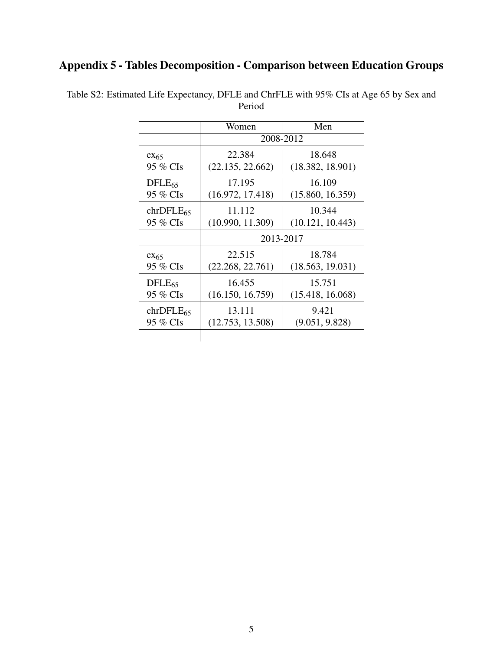# Appendix 5 - Tables Decomposition - Comparison between Education Groups

|                | Women            | Men              |
|----------------|------------------|------------------|
|                |                  | 2008-2012        |
| $ex_{65}$      | 22.384           | 18.648           |
| 95 % CIs       | (22.135, 22.662) | (18.382, 18.901) |
| $DFLE_{65}$    | 17.195           | 16.109           |
| 95 % CIs       | (16.972, 17.418) | (15.860, 16.359) |
| $chrDFLE_{65}$ | 11.112           | 10.344           |
| 95 % CIs       | (10.990, 11.309) | (10.121, 10.443) |
|                | 2013-2017        |                  |
| $ex_{65}$      | 22.515           | 18.784           |
| 95 % CIs       | (22.268, 22.761) | (18.563, 19.031) |
| $DFLE_{65}$    | 16.455           | 15.751           |
| 95 % CIs       | (16.150, 16.759) | (15.418, 16.068) |
| $chrDFLE_{65}$ | 13.111           | 9.421            |
| 95 % CIs       | (12.753, 13.508) | (9.051, 9.828)   |

<span id="page-26-0"></span>Table S2: Estimated Life Expectancy, DFLE and ChrFLE with 95% CIs at Age 65 by Sex and Period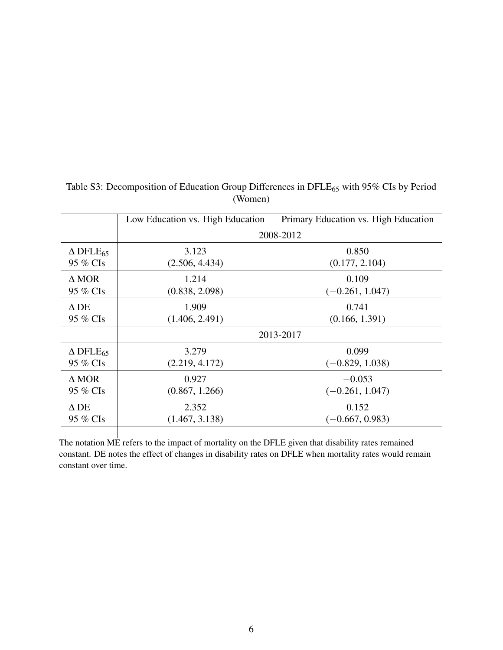<span id="page-27-0"></span>

|                                | Low Education vs. High Education | Primary Education vs. High Education |  |
|--------------------------------|----------------------------------|--------------------------------------|--|
|                                |                                  | 2008-2012                            |  |
| $\triangle$ DFLE <sub>65</sub> | 3.123                            | 0.850                                |  |
| 95 % CIs                       | (2.506, 4.434)                   | (0.177, 2.104)                       |  |
| $\Delta$ MOR                   | 1.214                            | 0.109                                |  |
| 95 % CIs                       | (0.838, 2.098)                   | $(-0.261, 1.047)$                    |  |
| $\Delta$ DE                    | 1.909                            | 0.741                                |  |
| 95 % CIs                       | (1.406, 2.491)                   | (0.166, 1.391)                       |  |
|                                | 2013-2017                        |                                      |  |
| $\triangle$ DFLE <sub>65</sub> | 3.279                            | 0.099                                |  |
| 95 % CIs                       | (2.219, 4.172)                   | $(-0.829, 1.038)$                    |  |
| $\triangle MOR$                | 0.927                            | $-0.053$                             |  |
| 95 % CIs                       | (0.867, 1.266)                   | $(-0.261, 1.047)$                    |  |
| $\Delta$ DE                    | 2.352                            | 0.152                                |  |
| 95 % CIs                       | (1.467, 3.138)                   | $(-0.667, 0.983)$                    |  |
|                                |                                  |                                      |  |

| Table S3: Decomposition of Education Group Differences in DFLE <sub>65</sub> with 95% CIs by Period |
|-----------------------------------------------------------------------------------------------------|
| (Women)                                                                                             |

The notation ME refers to the impact of mortality on the DFLE given that disability rates remained constant. DE notes the effect of changes in disability rates on DFLE when mortality rates would remain constant over time.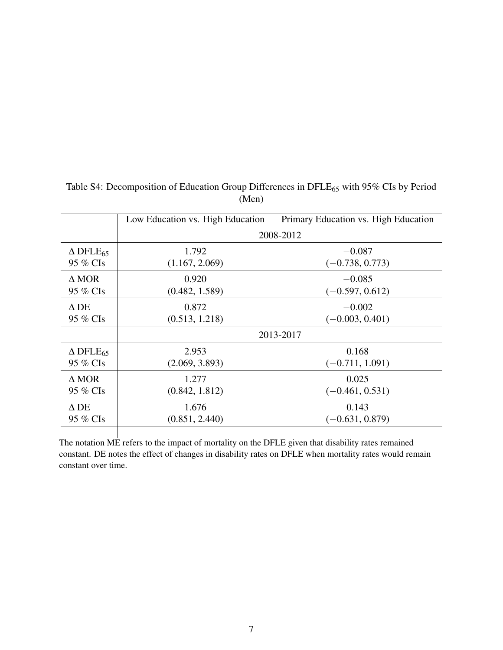<span id="page-28-0"></span>

|                                | Low Education vs. High Education | Primary Education vs. High Education |  |
|--------------------------------|----------------------------------|--------------------------------------|--|
|                                |                                  | 2008-2012                            |  |
| $\triangle$ DFLE <sub>65</sub> | 1.792                            | $-0.087$                             |  |
| 95 % CIs                       | (1.167, 2.069)                   | $(-0.738, 0.773)$                    |  |
| $\Delta$ MOR                   | 0.920                            | $-0.085$                             |  |
| 95 % CIs                       | (0.482, 1.589)                   | $(-0.597, 0.612)$                    |  |
| $\Delta$ DE                    | 0.872                            | $-0.002$                             |  |
| 95 % CIs                       | (0.513, 1.218)                   | $(-0.003, 0.401)$                    |  |
|                                | 2013-2017                        |                                      |  |
| $\triangle$ DFLE <sub>65</sub> | 2.953                            | 0.168                                |  |
| 95 % CIs                       | (2.069, 3.893)                   | $(-0.711, 1.091)$                    |  |
| $\triangle MOR$                | 1.277                            | 0.025                                |  |
| 95 % CIs                       | (0.842, 1.812)                   | $(-0.461, 0.531)$                    |  |
| $\Delta$ DE                    | 1.676                            | 0.143                                |  |
| 95 % CIs                       | (0.851, 2.440)                   | $(-0.631, 0.879)$                    |  |
|                                |                                  |                                      |  |

| Table S4: Decomposition of Education Group Differences in DFLE <sub>65</sub> with 95% CIs by Period |
|-----------------------------------------------------------------------------------------------------|
| (Men)                                                                                               |

The notation ME refers to the impact of mortality on the DFLE given that disability rates remained constant. DE notes the effect of changes in disability rates on DFLE when mortality rates would remain constant over time.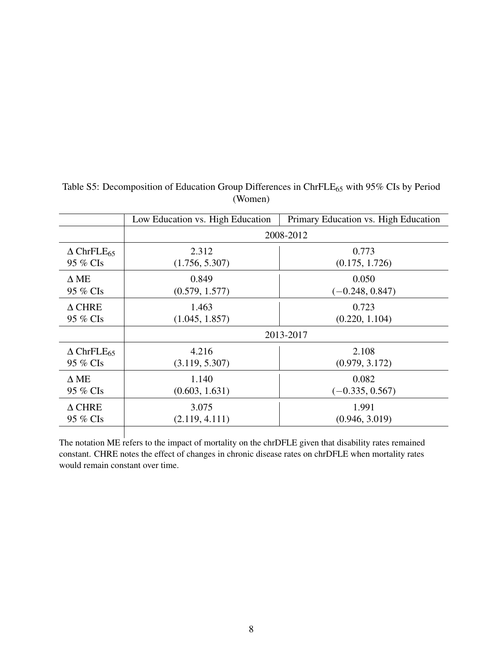<span id="page-29-0"></span>

|                                  | Low Education vs. High Education | Primary Education vs. High Education |  |
|----------------------------------|----------------------------------|--------------------------------------|--|
|                                  | 2008-2012                        |                                      |  |
| $\triangle$ ChrFLE <sub>65</sub> | 2.312                            | 0.773                                |  |
| 95 % CIs                         | (1.756, 5.307)                   | (0.175, 1.726)                       |  |
| $\Delta$ ME                      | 0.849                            | 0.050                                |  |
| 95 % CIs                         | (0.579, 1.577)                   | $(-0.248, 0.847)$                    |  |
| $\triangle$ CHRE                 | 1.463                            | 0.723                                |  |
| 95 % CIs                         | (1.045, 1.857)                   | (0.220, 1.104)                       |  |
|                                  | 2013-2017                        |                                      |  |
| $\Delta$ ChrFLE <sub>65</sub>    | 4.216                            | 2.108                                |  |
| 95 % CIs                         | (3.119, 5.307)                   | (0.979, 3.172)                       |  |
| $\Delta$ ME                      | 1.140                            | 0.082                                |  |
| 95 % CIs                         | (0.603, 1.631)                   | $(-0.335, 0.567)$                    |  |
| $\Delta$ CHRE                    | 3.075                            | 1.991                                |  |
| 95 % CIs                         | (2.119, 4.111)                   | (0.946, 3.019)                       |  |

| Table S5: Decomposition of Education Group Differences in ChrFLE $_{65}$ with 95% CIs by Period |
|-------------------------------------------------------------------------------------------------|
| (Women)                                                                                         |

The notation ME refers to the impact of mortality on the chrDFLE given that disability rates remained constant. CHRE notes the effect of changes in chronic disease rates on chrDFLE when mortality rates would remain constant over time.